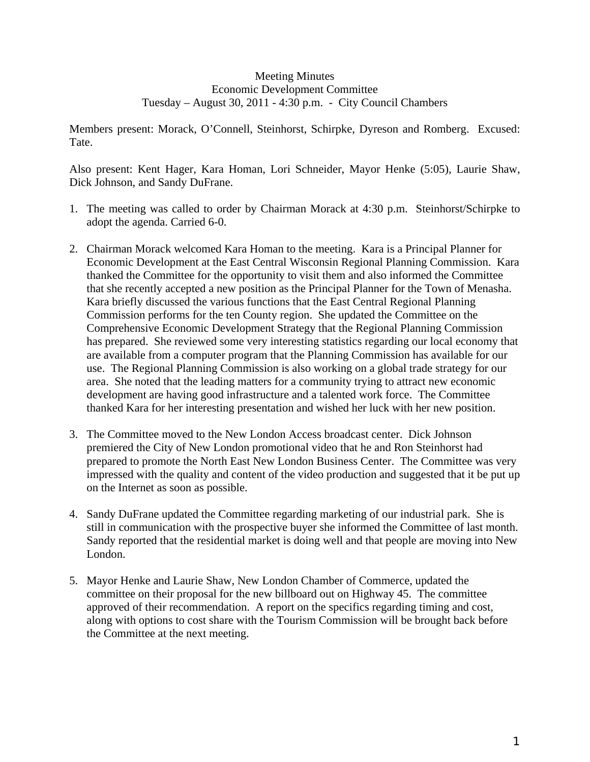## Meeting Minutes Economic Development Committee Tuesday – August 30, 2011 - 4:30 p.m. - City Council Chambers

Members present: Morack, O'Connell, Steinhorst, Schirpke, Dyreson and Romberg. Excused: Tate.

Also present: Kent Hager, Kara Homan, Lori Schneider, Mayor Henke (5:05), Laurie Shaw, Dick Johnson, and Sandy DuFrane.

- 1. The meeting was called to order by Chairman Morack at 4:30 p.m. Steinhorst/Schirpke to adopt the agenda. Carried 6-0.
- 2. Chairman Morack welcomed Kara Homan to the meeting. Kara is a Principal Planner for Economic Development at the East Central Wisconsin Regional Planning Commission. Kara thanked the Committee for the opportunity to visit them and also informed the Committee that she recently accepted a new position as the Principal Planner for the Town of Menasha. Kara briefly discussed the various functions that the East Central Regional Planning Commission performs for the ten County region. She updated the Committee on the Comprehensive Economic Development Strategy that the Regional Planning Commission has prepared. She reviewed some very interesting statistics regarding our local economy that are available from a computer program that the Planning Commission has available for our use. The Regional Planning Commission is also working on a global trade strategy for our area. She noted that the leading matters for a community trying to attract new economic development are having good infrastructure and a talented work force. The Committee thanked Kara for her interesting presentation and wished her luck with her new position.
- 3. The Committee moved to the New London Access broadcast center. Dick Johnson premiered the City of New London promotional video that he and Ron Steinhorst had prepared to promote the North East New London Business Center. The Committee was very impressed with the quality and content of the video production and suggested that it be put up on the Internet as soon as possible.
- 4. Sandy DuFrane updated the Committee regarding marketing of our industrial park. She is still in communication with the prospective buyer she informed the Committee of last month. Sandy reported that the residential market is doing well and that people are moving into New London.
- 5. Mayor Henke and Laurie Shaw, New London Chamber of Commerce, updated the committee on their proposal for the new billboard out on Highway 45. The committee approved of their recommendation. A report on the specifics regarding timing and cost, along with options to cost share with the Tourism Commission will be brought back before the Committee at the next meeting.